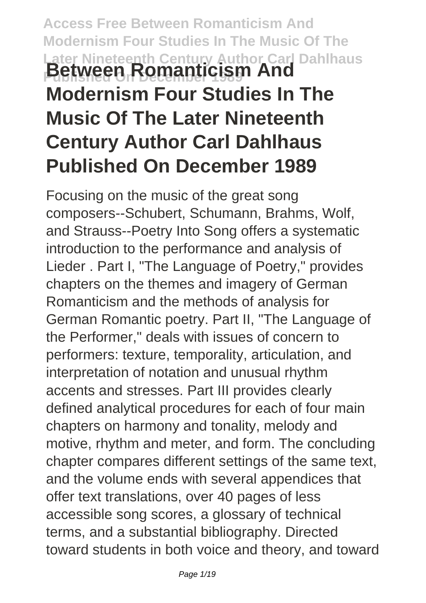# **Access Free Between Romanticism And Modernism Four Studies In The Music Of The Later Nineteenth Century Author Carl Dahlhaus Between Romanticism And Modernism Four Studies In The Music Of The Later Nineteenth Century Author Carl Dahlhaus Published On December 1989**

Focusing on the music of the great song composers--Schubert, Schumann, Brahms, Wolf, and Strauss--Poetry Into Song offers a systematic introduction to the performance and analysis of Lieder . Part I, "The Language of Poetry," provides chapters on the themes and imagery of German Romanticism and the methods of analysis for German Romantic poetry. Part II, "The Language of the Performer," deals with issues of concern to performers: texture, temporality, articulation, and interpretation of notation and unusual rhythm accents and stresses. Part III provides clearly defined analytical procedures for each of four main chapters on harmony and tonality, melody and motive, rhythm and meter, and form. The concluding chapter compares different settings of the same text, and the volume ends with several appendices that offer text translations, over 40 pages of less accessible song scores, a glossary of technical terms, and a substantial bibliography. Directed toward students in both voice and theory, and toward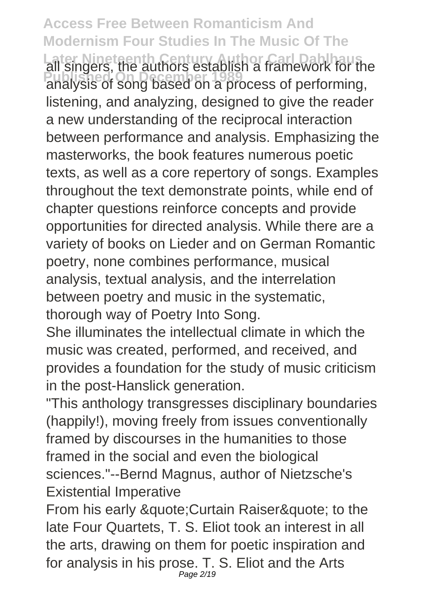**Access Free Between Romanticism And Modernism Four Studies In The Music Of The Later Nineteenth Century Author Carl Dahlhaus** all singers, the authors establish a framework for the **Published On December 1989** analysis of song based on a process of performing, listening, and analyzing, designed to give the reader a new understanding of the reciprocal interaction between performance and analysis. Emphasizing the masterworks, the book features numerous poetic texts, as well as a core repertory of songs. Examples throughout the text demonstrate points, while end of chapter questions reinforce concepts and provide opportunities for directed analysis. While there are a variety of books on Lieder and on German Romantic poetry, none combines performance, musical analysis, textual analysis, and the interrelation between poetry and music in the systematic, thorough way of Poetry Into Song.

She illuminates the intellectual climate in which the music was created, performed, and received, and provides a foundation for the study of music criticism in the post-Hanslick generation.

"This anthology transgresses disciplinary boundaries (happily!), moving freely from issues conventionally framed by discourses in the humanities to those framed in the social and even the biological sciences."--Bernd Magnus, author of Nietzsche's Existential Imperative

From his early & quote; Curtain Raiser & quote; to the late Four Quartets, T. S. Eliot took an interest in all the arts, drawing on them for poetic inspiration and for analysis in his prose. T. S. Eliot and the Arts Page 2/19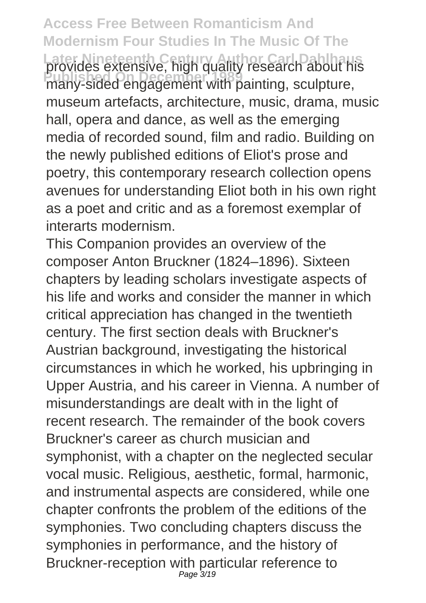**Access Free Between Romanticism And Modernism Four Studies In The Music Of The** Later Nineteenth Century of Carl Dahlmaus<br>provides extensive, high quality research about his **Published On December 1989** many-sided engagement with painting, sculpture, museum artefacts, architecture, music, drama, music hall, opera and dance, as well as the emerging media of recorded sound, film and radio. Building on the newly published editions of Eliot's prose and poetry, this contemporary research collection opens avenues for understanding Eliot both in his own right as a poet and critic and as a foremost exemplar of interarts modernism.

This Companion provides an overview of the composer Anton Bruckner (1824–1896). Sixteen chapters by leading scholars investigate aspects of his life and works and consider the manner in which critical appreciation has changed in the twentieth century. The first section deals with Bruckner's Austrian background, investigating the historical circumstances in which he worked, his upbringing in Upper Austria, and his career in Vienna. A number of misunderstandings are dealt with in the light of recent research. The remainder of the book covers Bruckner's career as church musician and symphonist, with a chapter on the neglected secular vocal music. Religious, aesthetic, formal, harmonic, and instrumental aspects are considered, while one chapter confronts the problem of the editions of the symphonies. Two concluding chapters discuss the symphonies in performance, and the history of Bruckner-reception with particular reference to Page 3/19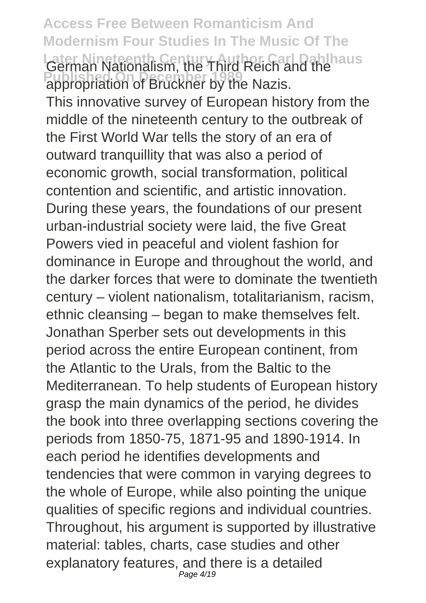**Access Free Between Romanticism And Modernism Four Studies In The Music Of The Later Nineteenth Century Author: Carl Dahlhaus Published On December 1989** This innovative survey of European history from the middle of the nineteenth century to the outbreak of the First World War tells the story of an era of outward tranquillity that was also a period of economic growth, social transformation, political contention and scientific, and artistic innovation. During these years, the foundations of our present urban-industrial society were laid, the five Great Powers vied in peaceful and violent fashion for dominance in Europe and throughout the world, and the darker forces that were to dominate the twentieth century – violent nationalism, totalitarianism, racism, ethnic cleansing – began to make themselves felt. Jonathan Sperber sets out developments in this period across the entire European continent, from the Atlantic to the Urals, from the Baltic to the Mediterranean. To help students of European history grasp the main dynamics of the period, he divides the book into three overlapping sections covering the periods from 1850-75, 1871-95 and 1890-1914. In each period he identifies developments and tendencies that were common in varying degrees to the whole of Europe, while also pointing the unique qualities of specific regions and individual countries. Throughout, his argument is supported by illustrative material: tables, charts, case studies and other explanatory features, and there is a detailed Page 4/19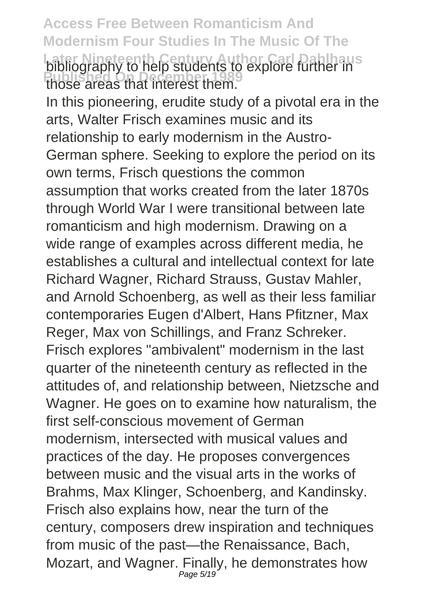**Access Free Between Romanticism And Modernism Four Studies In The Music Of The Later Nineteenth Century Author Carl Dahlhaus** bibliography to help students to explore further in **Published On December 1989** those areas that interest them.

In this pioneering, erudite study of a pivotal era in the arts, Walter Frisch examines music and its relationship to early modernism in the Austro-German sphere. Seeking to explore the period on its own terms, Frisch questions the common assumption that works created from the later 1870s through World War I were transitional between late romanticism and high modernism. Drawing on a wide range of examples across different media, he establishes a cultural and intellectual context for late Richard Wagner, Richard Strauss, Gustav Mahler, and Arnold Schoenberg, as well as their less familiar contemporaries Eugen d'Albert, Hans Pfitzner, Max Reger, Max von Schillings, and Franz Schreker. Frisch explores "ambivalent" modernism in the last quarter of the nineteenth century as reflected in the attitudes of, and relationship between, Nietzsche and Wagner. He goes on to examine how naturalism, the first self-conscious movement of German modernism, intersected with musical values and practices of the day. He proposes convergences between music and the visual arts in the works of Brahms, Max Klinger, Schoenberg, and Kandinsky. Frisch also explains how, near the turn of the century, composers drew inspiration and techniques from music of the past—the Renaissance, Bach, Mozart, and Wagner. Finally, he demonstrates how Page 5/19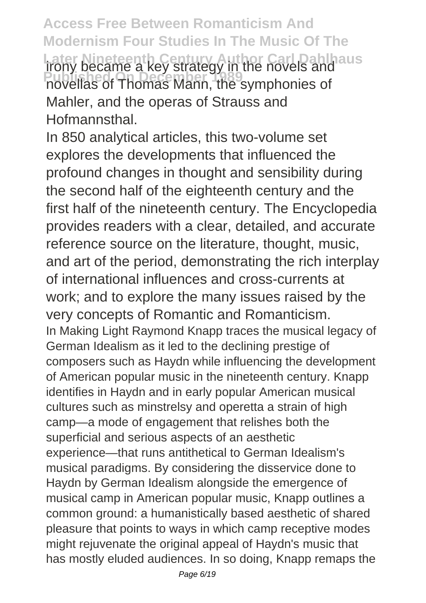**Access Free Between Romanticism And Modernism Four Studies In The Music Of The Later Nineteenth Century Author Carl Dahlhaus** irony became a key strategy in the novels and **Published On December 1989** novellas of Thomas Mann, the symphonies of Mahler, and the operas of Strauss and Hofmannsthal.

In 850 analytical articles, this two-volume set explores the developments that influenced the profound changes in thought and sensibility during the second half of the eighteenth century and the first half of the nineteenth century. The Encyclopedia provides readers with a clear, detailed, and accurate reference source on the literature, thought, music, and art of the period, demonstrating the rich interplay of international influences and cross-currents at work; and to explore the many issues raised by the very concepts of Romantic and Romanticism. In Making Light Raymond Knapp traces the musical legacy of German Idealism as it led to the declining prestige of composers such as Haydn while influencing the development of American popular music in the nineteenth century. Knapp identifies in Haydn and in early popular American musical cultures such as minstrelsy and operetta a strain of high camp—a mode of engagement that relishes both the superficial and serious aspects of an aesthetic experience—that runs antithetical to German Idealism's musical paradigms. By considering the disservice done to Haydn by German Idealism alongside the emergence of musical camp in American popular music, Knapp outlines a common ground: a humanistically based aesthetic of shared pleasure that points to ways in which camp receptive modes might rejuvenate the original appeal of Haydn's music that has mostly eluded audiences. In so doing, Knapp remaps the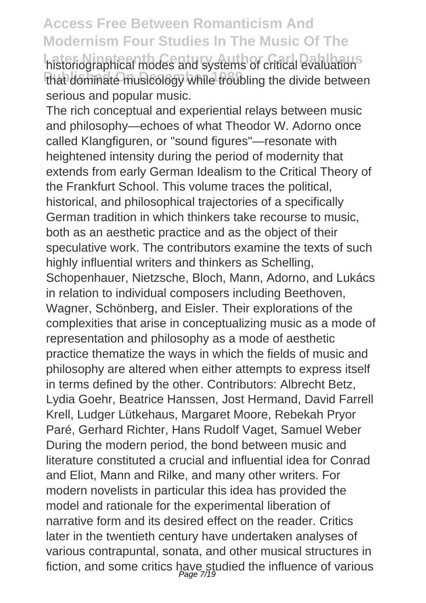historiographical modes and systems of critical evaluation<sup>s</sup> that dominate musicology while troubling the divide between serious and popular music.

The rich conceptual and experiential relays between music and philosophy—echoes of what Theodor W. Adorno once called Klangfiguren, or "sound figures"—resonate with heightened intensity during the period of modernity that extends from early German Idealism to the Critical Theory of the Frankfurt School. This volume traces the political, historical, and philosophical trajectories of a specifically German tradition in which thinkers take recourse to music, both as an aesthetic practice and as the object of their speculative work. The contributors examine the texts of such highly influential writers and thinkers as Schelling. Schopenhauer, Nietzsche, Bloch, Mann, Adorno, and Lukács in relation to individual composers including Beethoven, Wagner, Schönberg, and Eisler. Their explorations of the complexities that arise in conceptualizing music as a mode of representation and philosophy as a mode of aesthetic practice thematize the ways in which the fields of music and philosophy are altered when either attempts to express itself in terms defined by the other. Contributors: Albrecht Betz, Lydia Goehr, Beatrice Hanssen, Jost Hermand, David Farrell Krell, Ludger Lütkehaus, Margaret Moore, Rebekah Pryor Paré, Gerhard Richter, Hans Rudolf Vaget, Samuel Weber During the modern period, the bond between music and literature constituted a crucial and influential idea for Conrad and Eliot, Mann and Rilke, and many other writers. For modern novelists in particular this idea has provided the model and rationale for the experimental liberation of narrative form and its desired effect on the reader. Critics later in the twentieth century have undertaken analyses of various contrapuntal, sonata, and other musical structures in fiction, and some critics have studied the influence of various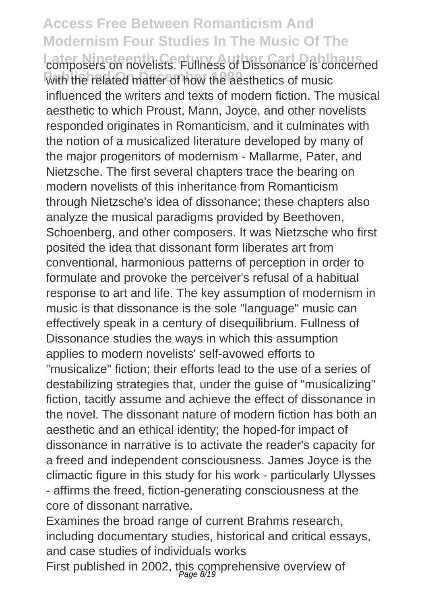#### **Access Free Between Romanticism And Modernism Four Studies In The Music Of The** composers on novelists. Fullness of Dissonance is concerned with the related matter of how the aesthetics of music influenced the writers and texts of modern fiction. The musical aesthetic to which Proust, Mann, Joyce, and other novelists responded originates in Romanticism, and it culminates with the notion of a musicalized literature developed by many of the major progenitors of modernism - Mallarme, Pater, and Nietzsche. The first several chapters trace the bearing on modern novelists of this inheritance from Romanticism through Nietzsche's idea of dissonance; these chapters also analyze the musical paradigms provided by Beethoven, Schoenberg, and other composers. It was Nietzsche who first posited the idea that dissonant form liberates art from conventional, harmonious patterns of perception in order to formulate and provoke the perceiver's refusal of a habitual response to art and life. The key assumption of modernism in music is that dissonance is the sole "language" music can effectively speak in a century of disequilibrium. Fullness of Dissonance studies the ways in which this assumption applies to modern novelists' self-avowed efforts to "musicalize" fiction; their efforts lead to the use of a series of destabilizing strategies that, under the guise of "musicalizing" fiction, tacitly assume and achieve the effect of dissonance in the novel. The dissonant nature of modern fiction has both an aesthetic and an ethical identity; the hoped-for impact of dissonance in narrative is to activate the reader's capacity for a freed and independent consciousness. James Joyce is the climactic figure in this study for his work - particularly Ulysses - affirms the freed, fiction-generating consciousness at the core of dissonant narrative.

Examines the broad range of current Brahms research, including documentary studies, historical and critical essays, and case studies of individuals works

First published in 2002, this comprehensive overview of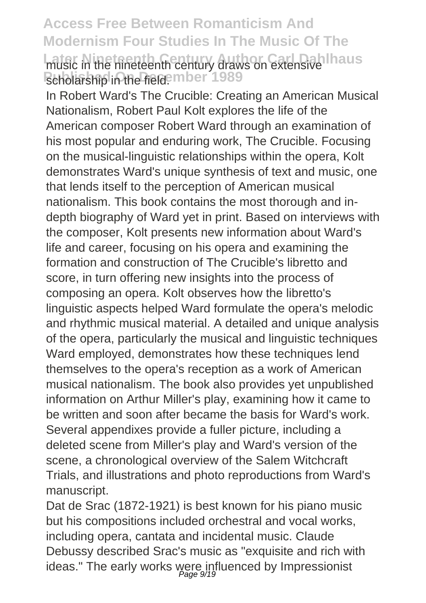#### **Access Free Between Romanticism And Modernism Four Studies In The Music Of The Later Nineteenth Century Author Carl Dahlhaus** music in the nineteenth century draws on extensive scholarship in the field. mber 1989

In Robert Ward's The Crucible: Creating an American Musical Nationalism, Robert Paul Kolt explores the life of the American composer Robert Ward through an examination of his most popular and enduring work, The Crucible. Focusing on the musical-linguistic relationships within the opera, Kolt demonstrates Ward's unique synthesis of text and music, one that lends itself to the perception of American musical nationalism. This book contains the most thorough and indepth biography of Ward yet in print. Based on interviews with the composer, Kolt presents new information about Ward's life and career, focusing on his opera and examining the formation and construction of The Crucible's libretto and score, in turn offering new insights into the process of composing an opera. Kolt observes how the libretto's linguistic aspects helped Ward formulate the opera's melodic and rhythmic musical material. A detailed and unique analysis of the opera, particularly the musical and linguistic techniques Ward employed, demonstrates how these techniques lend themselves to the opera's reception as a work of American musical nationalism. The book also provides yet unpublished information on Arthur Miller's play, examining how it came to be written and soon after became the basis for Ward's work. Several appendixes provide a fuller picture, including a deleted scene from Miller's play and Ward's version of the scene, a chronological overview of the Salem Witchcraft Trials, and illustrations and photo reproductions from Ward's manuscript.

Dat de Srac (1872-1921) is best known for his piano music but his compositions included orchestral and vocal works, including opera, cantata and incidental music. Claude Debussy described Srac's music as "exquisite and rich with ideas." The early works were influenced by Impressionist<br>Page 9/19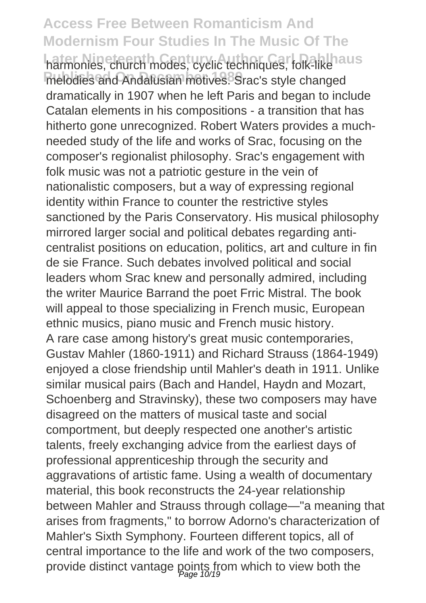**Access Free Between Romanticism And Modernism Four Studies In The Music Of The** harmonies, church modes, cyclic techniques, folk-like aus melodies and Andalusian motives. Srac's style changed dramatically in 1907 when he left Paris and began to include Catalan elements in his compositions - a transition that has hitherto gone unrecognized. Robert Waters provides a muchneeded study of the life and works of Srac, focusing on the composer's regionalist philosophy. Srac's engagement with folk music was not a patriotic gesture in the vein of nationalistic composers, but a way of expressing regional identity within France to counter the restrictive styles sanctioned by the Paris Conservatory. His musical philosophy mirrored larger social and political debates regarding anticentralist positions on education, politics, art and culture in fin de sie France. Such debates involved political and social leaders whom Srac knew and personally admired, including the writer Maurice Barrand the poet Frric Mistral. The book will appeal to those specializing in French music, European ethnic musics, piano music and French music history. A rare case among history's great music contemporaries, Gustav Mahler (1860-1911) and Richard Strauss (1864-1949) enjoyed a close friendship until Mahler's death in 1911. Unlike similar musical pairs (Bach and Handel, Haydn and Mozart, Schoenberg and Stravinsky), these two composers may have disagreed on the matters of musical taste and social comportment, but deeply respected one another's artistic talents, freely exchanging advice from the earliest days of professional apprenticeship through the security and aggravations of artistic fame. Using a wealth of documentary material, this book reconstructs the 24-year relationship between Mahler and Strauss through collage—"a meaning that arises from fragments," to borrow Adorno's characterization of Mahler's Sixth Symphony. Fourteen different topics, all of central importance to the life and work of the two composers, provide distinct vantage points from which to view both the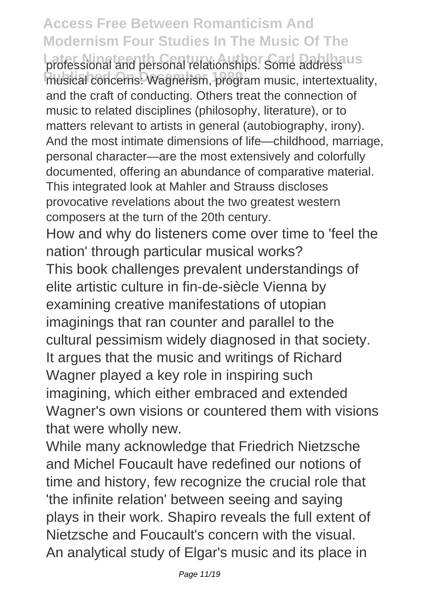professional and personal relationships. Some address us musical concerns: Wagnerism, program music, intertextuality, and the craft of conducting. Others treat the connection of music to related disciplines (philosophy, literature), or to matters relevant to artists in general (autobiography, irony). And the most intimate dimensions of life—childhood, marriage, personal character—are the most extensively and colorfully documented, offering an abundance of comparative material. This integrated look at Mahler and Strauss discloses provocative revelations about the two greatest western composers at the turn of the 20th century.

How and why do listeners come over time to 'feel the nation' through particular musical works?

This book challenges prevalent understandings of elite artistic culture in fin-de-siècle Vienna by examining creative manifestations of utopian imaginings that ran counter and parallel to the cultural pessimism widely diagnosed in that society. It argues that the music and writings of Richard Wagner played a key role in inspiring such imagining, which either embraced and extended Wagner's own visions or countered them with visions that were wholly new.

While many acknowledge that Friedrich Nietzsche and Michel Foucault have redefined our notions of time and history, few recognize the crucial role that 'the infinite relation' between seeing and saying plays in their work. Shapiro reveals the full extent of Nietzsche and Foucault's concern with the visual. An analytical study of Elgar's music and its place in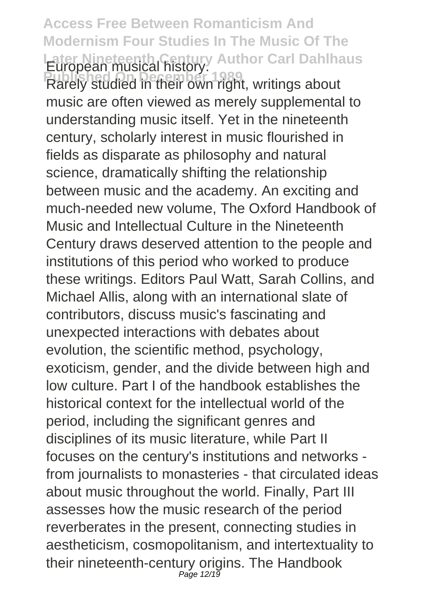**Access Free Between Romanticism And Modernism Four Studies In The Music Of The** Later Nineteenth Century Author Carl Dahlhaus<br>European musical history.

**Published On December 1989**<br>Rarely studied in their own right, writings about music are often viewed as merely supplemental to understanding music itself. Yet in the nineteenth century, scholarly interest in music flourished in fields as disparate as philosophy and natural science, dramatically shifting the relationship between music and the academy. An exciting and much-needed new volume, The Oxford Handbook of Music and Intellectual Culture in the Nineteenth Century draws deserved attention to the people and institutions of this period who worked to produce these writings. Editors Paul Watt, Sarah Collins, and Michael Allis, along with an international slate of contributors, discuss music's fascinating and unexpected interactions with debates about evolution, the scientific method, psychology, exoticism, gender, and the divide between high and low culture. Part I of the handbook establishes the historical context for the intellectual world of the period, including the significant genres and disciplines of its music literature, while Part II focuses on the century's institutions and networks from journalists to monasteries - that circulated ideas about music throughout the world. Finally, Part III assesses how the music research of the period reverberates in the present, connecting studies in aestheticism, cosmopolitanism, and intertextuality to their nineteenth-century origins. The Handbook Page 12/19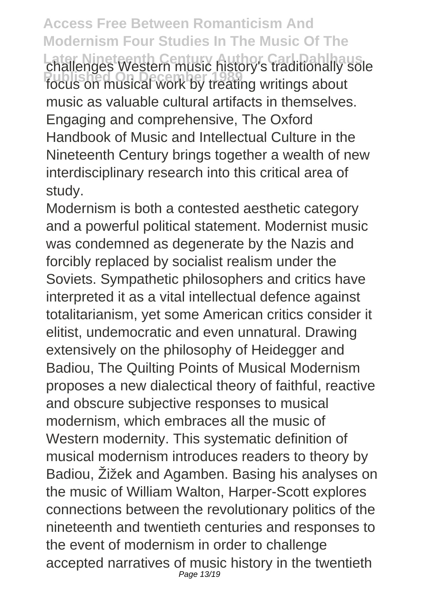**Access Free Between Romanticism And Modernism Four Studies In The Music Of The Later Nineteenth Century Author Carl Dahlhaus** challenges Western music history's traditionally sole **Published On December 1989** focus on musical work by treating writings about music as valuable cultural artifacts in themselves. Engaging and comprehensive, The Oxford Handbook of Music and Intellectual Culture in the Nineteenth Century brings together a wealth of new interdisciplinary research into this critical area of study.

Modernism is both a contested aesthetic category and a powerful political statement. Modernist music was condemned as degenerate by the Nazis and forcibly replaced by socialist realism under the Soviets. Sympathetic philosophers and critics have interpreted it as a vital intellectual defence against totalitarianism, yet some American critics consider it elitist, undemocratic and even unnatural. Drawing extensively on the philosophy of Heidegger and Badiou, The Quilting Points of Musical Modernism proposes a new dialectical theory of faithful, reactive and obscure subjective responses to musical modernism, which embraces all the music of Western modernity. This systematic definition of musical modernism introduces readers to theory by Badiou, Žižek and Agamben. Basing his analyses on the music of William Walton, Harper-Scott explores connections between the revolutionary politics of the nineteenth and twentieth centuries and responses to the event of modernism in order to challenge accepted narratives of music history in the twentieth Page 13/19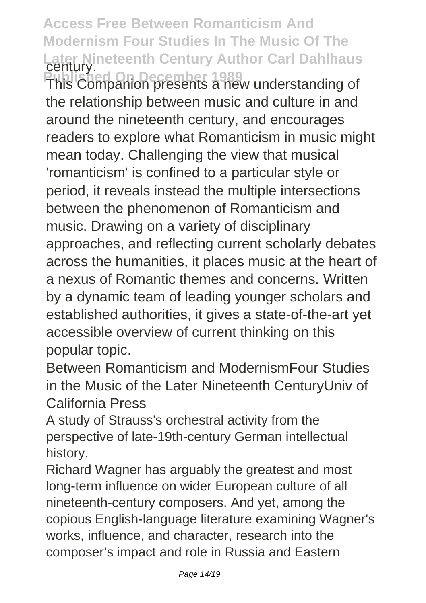**Access Free Between Romanticism And Modernism Four Studies In The Music Of The Later Nineteenth Century Author Carl Dahlhaus** century. **Published On December 1989** This Companion presents a new understanding of the relationship between music and culture in and around the nineteenth century, and encourages readers to explore what Romanticism in music might mean today. Challenging the view that musical 'romanticism' is confined to a particular style or period, it reveals instead the multiple intersections between the phenomenon of Romanticism and music. Drawing on a variety of disciplinary approaches, and reflecting current scholarly debates across the humanities, it places music at the heart of a nexus of Romantic themes and concerns. Written by a dynamic team of leading younger scholars and established authorities, it gives a state-of-the-art yet accessible overview of current thinking on this popular topic.

Between Romanticism and ModernismFour Studies in the Music of the Later Nineteenth CenturyUniv of California Press

A study of Strauss's orchestral activity from the perspective of late-19th-century German intellectual history.

Richard Wagner has arguably the greatest and most long-term influence on wider European culture of all nineteenth-century composers. And yet, among the copious English-language literature examining Wagner's works, influence, and character, research into the composer's impact and role in Russia and Eastern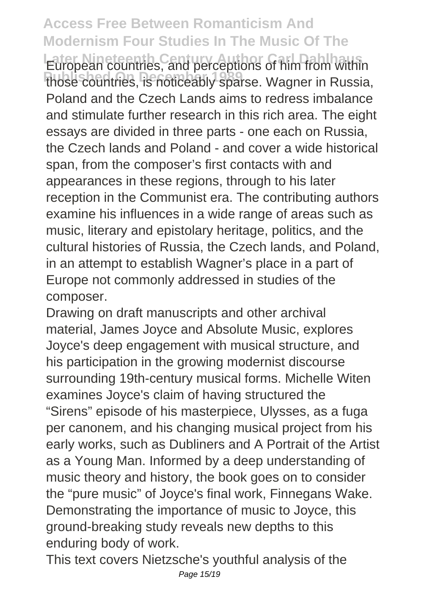**Access Free Between Romanticism And Modernism Four Studies In The Music Of The European countries, and perceptions of him from within** those countries, is noticeably sparse. Wagner in Russia, Poland and the Czech Lands aims to redress imbalance and stimulate further research in this rich area. The eight essays are divided in three parts - one each on Russia, the Czech lands and Poland - and cover a wide historical span, from the composer's first contacts with and appearances in these regions, through to his later reception in the Communist era. The contributing authors examine his influences in a wide range of areas such as music, literary and epistolary heritage, politics, and the cultural histories of Russia, the Czech lands, and Poland, in an attempt to establish Wagner's place in a part of Europe not commonly addressed in studies of the composer.

Drawing on draft manuscripts and other archival material, James Joyce and Absolute Music, explores Joyce's deep engagement with musical structure, and his participation in the growing modernist discourse surrounding 19th-century musical forms. Michelle Witen examines Joyce's claim of having structured the "Sirens" episode of his masterpiece, Ulysses, as a fuga per canonem, and his changing musical project from his early works, such as Dubliners and A Portrait of the Artist as a Young Man. Informed by a deep understanding of music theory and history, the book goes on to consider the "pure music" of Joyce's final work, Finnegans Wake. Demonstrating the importance of music to Joyce, this ground-breaking study reveals new depths to this enduring body of work.

This text covers Nietzsche's youthful analysis of the Page 15/19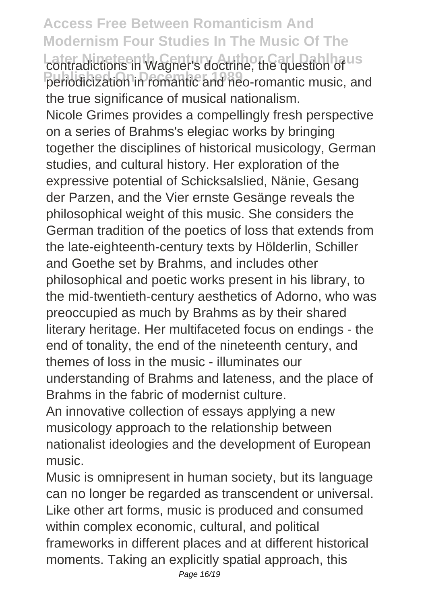**Access Free Between Romanticism And Modernism Four Studies In The Music Of The** contradictions in Wagner's doctrine, the question of us periodicization in romantic and neo-romantic music, and the true significance of musical nationalism. Nicole Grimes provides a compellingly fresh perspective on a series of Brahms's elegiac works by bringing together the disciplines of historical musicology, German studies, and cultural history. Her exploration of the expressive potential of Schicksalslied, Nänie, Gesang der Parzen, and the Vier ernste Gesänge reveals the philosophical weight of this music. She considers the German tradition of the poetics of loss that extends from the late-eighteenth-century texts by Hölderlin, Schiller and Goethe set by Brahms, and includes other philosophical and poetic works present in his library, to the mid-twentieth-century aesthetics of Adorno, who was preoccupied as much by Brahms as by their shared literary heritage. Her multifaceted focus on endings - the end of tonality, the end of the nineteenth century, and themes of loss in the music - illuminates our understanding of Brahms and lateness, and the place of Brahms in the fabric of modernist culture. An innovative collection of essays applying a new musicology approach to the relationship between

nationalist ideologies and the development of European music.

Music is omnipresent in human society, but its language can no longer be regarded as transcendent or universal. Like other art forms, music is produced and consumed within complex economic, cultural, and political frameworks in different places and at different historical moments. Taking an explicitly spatial approach, this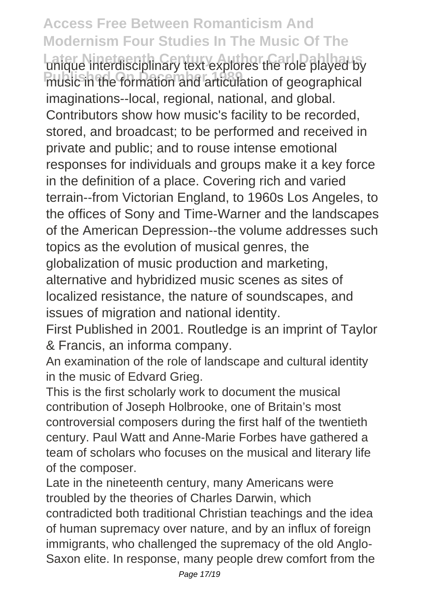**Access Free Between Romanticism And Modernism Four Studies In The Music Of The** unique interdisciplinary text explores the role played by **Public in the formation and articulation of geographical** imaginations--local, regional, national, and global. Contributors show how music's facility to be recorded, stored, and broadcast; to be performed and received in private and public; and to rouse intense emotional responses for individuals and groups make it a key force in the definition of a place. Covering rich and varied terrain--from Victorian England, to 1960s Los Angeles, to the offices of Sony and Time-Warner and the landscapes of the American Depression--the volume addresses such topics as the evolution of musical genres, the globalization of music production and marketing, alternative and hybridized music scenes as sites of localized resistance, the nature of soundscapes, and issues of migration and national identity.

First Published in 2001. Routledge is an imprint of Taylor & Francis, an informa company.

An examination of the role of landscape and cultural identity in the music of Edvard Grieg.

This is the first scholarly work to document the musical contribution of Joseph Holbrooke, one of Britain's most controversial composers during the first half of the twentieth century. Paul Watt and Anne-Marie Forbes have gathered a team of scholars who focuses on the musical and literary life of the composer.

Late in the nineteenth century, many Americans were troubled by the theories of Charles Darwin, which contradicted both traditional Christian teachings and the idea of human supremacy over nature, and by an influx of foreign immigrants, who challenged the supremacy of the old Anglo-Saxon elite. In response, many people drew comfort from the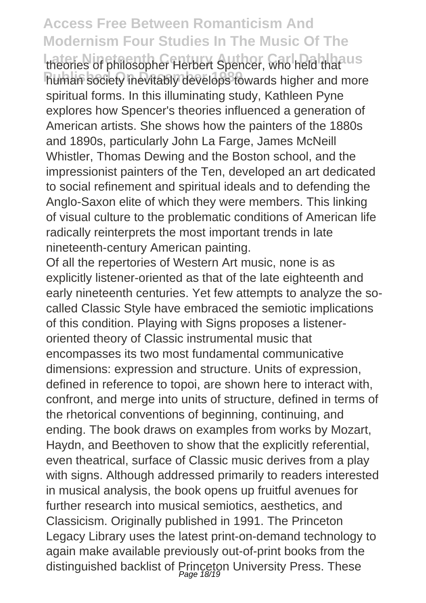theories of philosopher Herbert Spencer, who held that us human society inevitably develops towards higher and more spiritual forms. In this illuminating study, Kathleen Pyne explores how Spencer's theories influenced a generation of American artists. She shows how the painters of the 1880s and 1890s, particularly John La Farge, James McNeill Whistler, Thomas Dewing and the Boston school, and the impressionist painters of the Ten, developed an art dedicated to social refinement and spiritual ideals and to defending the Anglo-Saxon elite of which they were members. This linking of visual culture to the problematic conditions of American life radically reinterprets the most important trends in late nineteenth-century American painting.

Of all the repertories of Western Art music, none is as explicitly listener-oriented as that of the late eighteenth and early nineteenth centuries. Yet few attempts to analyze the socalled Classic Style have embraced the semiotic implications of this condition. Playing with Signs proposes a listeneroriented theory of Classic instrumental music that encompasses its two most fundamental communicative dimensions: expression and structure. Units of expression, defined in reference to topoi, are shown here to interact with, confront, and merge into units of structure, defined in terms of the rhetorical conventions of beginning, continuing, and ending. The book draws on examples from works by Mozart, Haydn, and Beethoven to show that the explicitly referential, even theatrical, surface of Classic music derives from a play with signs. Although addressed primarily to readers interested in musical analysis, the book opens up fruitful avenues for further research into musical semiotics, aesthetics, and Classicism. Originally published in 1991. The Princeton Legacy Library uses the latest print-on-demand technology to again make available previously out-of-print books from the distinguished backlist of Princeton University Press. These